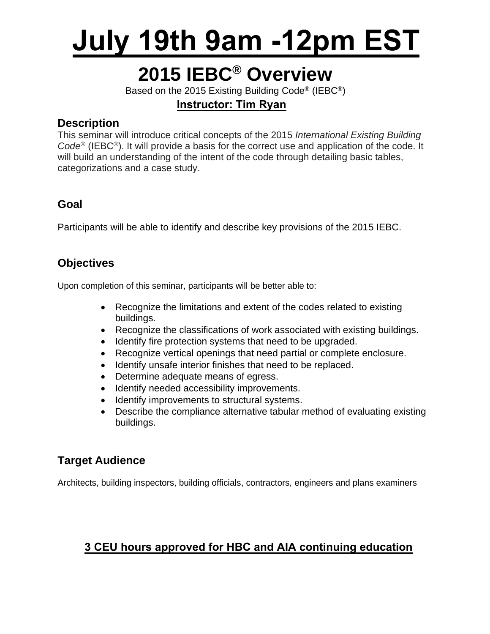# **July 19th 9am -12pm EST**

### **2015 IEBC® Overview**

Based on the 2015 Existing Building Code® (IEBC®)

### **Instructor: Tim Ryan**

### **Description**

This seminar will introduce critical concepts of the 2015 *International Existing Building Code*® (IEBC®). It will provide a basis for the correct use and application of the code. It will build an understanding of the intent of the code through detailing basic tables, categorizations and a case study.

### **Goal**

Participants will be able to identify and describe key provisions of the 2015 IEBC.

### **Objectives**

Upon completion of this seminar, participants will be better able to:

- Recognize the limitations and extent of the codes related to existing buildings.
- Recognize the classifications of work associated with existing buildings.
- Identify fire protection systems that need to be upgraded.
- Recognize vertical openings that need partial or complete enclosure.
- Identify unsafe interior finishes that need to be replaced.
- Determine adequate means of egress.
- Identify needed accessibility improvements.
- Identify improvements to structural systems.
- Describe the compliance alternative tabular method of evaluating existing buildings.

### **Target Audience**

Architects, building inspectors, building officials, contractors, engineers and plans examiners

### **3 CEU hours approved for HBC and AIA continuing education**